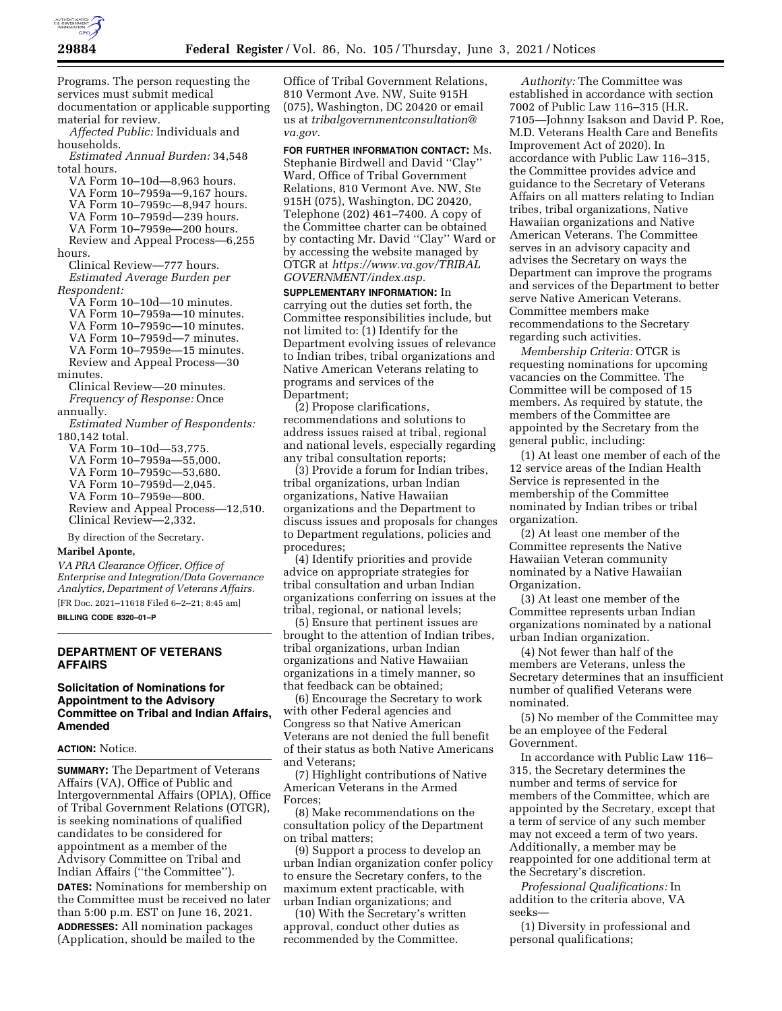

Programs. The person requesting the services must submit medical documentation or applicable supporting material for review. *Affected Public:* Individuals and households.

*Estimated Annual Burden:* 34,548 total hours.

VA Form 10–10d—8,963 hours. VA Form 10–7959a—9,167 hours. VA Form 10–7959c—8,947 hours. VA Form 10–7959d—239 hours. VA Form 10–7959e—200 hours. Review and Appeal Process—6,255 hours. Clinical Review—777 hours. *Estimated Average Burden per Respondent:* 

VA Form 10–10d—10 minutes. VA Form 10–7959a—10 minutes. VA Form 10–7959c—10 minutes. VA Form 10–7959d—7 minutes. VA Form 10–7959e—15 minutes. Review and Appeal Process—30 minutes. Clinical Review—20 minutes. *Frequency of Response:* Once annually. *Estimated Number of Respondents:*  180,142 total. VA Form 10–10d—53,775. VA Form 10–7959a—55,000. VA Form 10–7959c—53,680. VA Form 10–7959d—2,045.

- VA Form 10–7959e—800.
- Review and Appeal Process—12,510. Clinical Review—2,332.

By direction of the Secretary.

## **Maribel Aponte,**

*VA PRA Clearance Officer, Office of Enterprise and Integration/Data Governance Analytics, Department of Veterans Affairs.*  [FR Doc. 2021–11618 Filed 6–2–21; 8:45 am]

**BILLING CODE 8320–01–P** 

# **DEPARTMENT OF VETERANS AFFAIRS**

## **Solicitation of Nominations for Appointment to the Advisory Committee on Tribal and Indian Affairs, Amended**

#### **ACTION:** Notice.

**SUMMARY:** The Department of Veterans Affairs (VA), Office of Public and Intergovernmental Affairs (OPIA), Office of Tribal Government Relations (OTGR), is seeking nominations of qualified candidates to be considered for appointment as a member of the Advisory Committee on Tribal and Indian Affairs (''the Committee''). **DATES:** Nominations for membership on the Committee must be received no later than 5:00 p.m. EST on June 16, 2021. **ADDRESSES:** All nomination packages (Application, should be mailed to the

Office of Tribal Government Relations, 810 Vermont Ave. NW, Suite 915H (075), Washington, DC 20420 or email us at *[tribalgovernmentconsultation@](mailto:tribalgovernmentconsultation@va.gov) [va.gov.](mailto:tribalgovernmentconsultation@va.gov)* 

**FOR FURTHER INFORMATION CONTACT:** Ms. Stephanie Birdwell and David ''Clay'' Ward, Office of Tribal Government Relations, 810 Vermont Ave. NW, Ste 915H (075), Washington, DC 20420, Telephone (202) 461–7400. A copy of the Committee charter can be obtained by contacting Mr. David ''Clay'' Ward or by accessing the website managed by OTGR at *[https://www.va.gov/TRIBAL](https://www.va.gov/TRIBALGOVERNMENT/index.asp) [GOVERNMENT/index.asp.](https://www.va.gov/TRIBALGOVERNMENT/index.asp)* 

**SUPPLEMENTARY INFORMATION:** In carrying out the duties set forth, the Committee responsibilities include, but not limited to: (1) Identify for the Department evolving issues of relevance to Indian tribes, tribal organizations and Native American Veterans relating to programs and services of the Department;

(2) Propose clarifications, recommendations and solutions to address issues raised at tribal, regional and national levels, especially regarding any tribal consultation reports;

(3) Provide a forum for Indian tribes, tribal organizations, urban Indian organizations, Native Hawaiian organizations and the Department to discuss issues and proposals for changes to Department regulations, policies and procedures;

(4) Identify priorities and provide advice on appropriate strategies for tribal consultation and urban Indian organizations conferring on issues at the tribal, regional, or national levels;

(5) Ensure that pertinent issues are brought to the attention of Indian tribes, tribal organizations, urban Indian organizations and Native Hawaiian organizations in a timely manner, so that feedback can be obtained;

(6) Encourage the Secretary to work with other Federal agencies and Congress so that Native American Veterans are not denied the full benefit of their status as both Native Americans and Veterans;

(7) Highlight contributions of Native American Veterans in the Armed Forces;

(8) Make recommendations on the consultation policy of the Department on tribal matters;

(9) Support a process to develop an urban Indian organization confer policy to ensure the Secretary confers, to the maximum extent practicable, with urban Indian organizations; and

(10) With the Secretary's written approval, conduct other duties as recommended by the Committee.

*Authority:* The Committee was established in accordance with section 7002 of Public Law 116–315 (H.R. 7105—Johnny Isakson and David P. Roe, M.D. Veterans Health Care and Benefits Improvement Act of 2020). In accordance with Public Law 116–315, the Committee provides advice and guidance to the Secretary of Veterans Affairs on all matters relating to Indian tribes, tribal organizations, Native Hawaiian organizations and Native American Veterans. The Committee serves in an advisory capacity and advises the Secretary on ways the Department can improve the programs and services of the Department to better serve Native American Veterans. Committee members make recommendations to the Secretary regarding such activities.

*Membership Criteria:* OTGR is requesting nominations for upcoming vacancies on the Committee. The Committee will be composed of 15 members. As required by statute, the members of the Committee are appointed by the Secretary from the general public, including:

(1) At least one member of each of the 12 service areas of the Indian Health Service is represented in the membership of the Committee nominated by Indian tribes or tribal organization.

(2) At least one member of the Committee represents the Native Hawaiian Veteran community nominated by a Native Hawaiian Organization.

(3) At least one member of the Committee represents urban Indian organizations nominated by a national urban Indian organization.

(4) Not fewer than half of the members are Veterans, unless the Secretary determines that an insufficient number of qualified Veterans were nominated.

(5) No member of the Committee may be an employee of the Federal Government.

In accordance with Public Law 116– 315, the Secretary determines the number and terms of service for members of the Committee, which are appointed by the Secretary, except that a term of service of any such member may not exceed a term of two years. Additionally, a member may be reappointed for one additional term at the Secretary's discretion.

*Professional Qualifications:* In addition to the criteria above, VA seeks—

(1) Diversity in professional and personal qualifications;